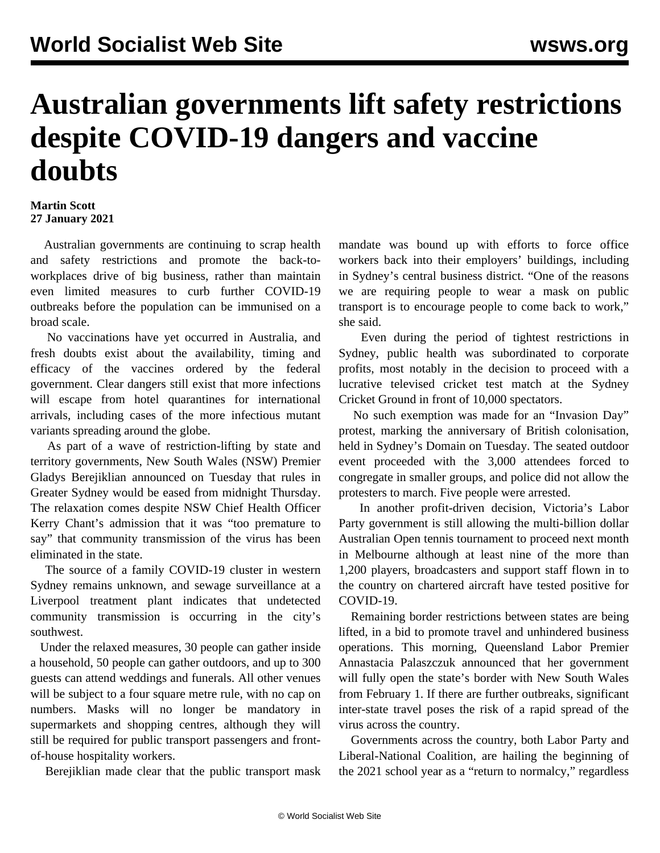## **Australian governments lift safety restrictions despite COVID-19 dangers and vaccine doubts**

## **Martin Scott 27 January 2021**

 Australian governments are continuing to scrap health and safety restrictions and promote the back-toworkplaces drive of big business, rather than maintain even limited measures to curb further COVID-19 outbreaks before the population can be immunised on a broad scale.

 No vaccinations have yet occurred in Australia, and fresh doubts exist about the availability, timing and efficacy of the vaccines ordered by the federal government. Clear dangers still exist that more infections will escape from hotel quarantines for international arrivals, including cases of the more infectious mutant variants spreading around the globe.

 As part of a wave of restriction-lifting by state and territory governments, New South Wales (NSW) Premier Gladys Berejiklian announced on Tuesday that rules in Greater Sydney would be eased from midnight Thursday. The relaxation comes despite NSW Chief Health Officer Kerry Chant's admission that it was "too premature to say" that community transmission of the virus has been eliminated in the state.

 The source of a family COVID-19 cluster in western Sydney remains unknown, and sewage surveillance at a Liverpool treatment plant indicates that undetected community transmission is occurring in the city's southwest.

 Under the relaxed measures, 30 people can gather inside a household, 50 people can gather outdoors, and up to 300 guests can attend weddings and funerals. All other venues will be subject to a four square metre rule, with no cap on numbers. Masks will no longer be mandatory in supermarkets and shopping centres, although they will still be required for public transport passengers and frontof-house hospitality workers.

Berejiklian made clear that the public transport mask

mandate was bound up with efforts to force office workers back into their employers' buildings, including in Sydney's central business district. "One of the reasons we are requiring people to wear a mask on public transport is to encourage people to come back to work," she said.

 Even during the period of tightest restrictions in Sydney, public health was subordinated to corporate profits, most notably in the decision to proceed with a lucrative televised cricket test match at the Sydney Cricket Ground in front of 10,000 spectators.

 No such exemption was made for an "Invasion Day" protest, marking the anniversary of British colonisation, held in Sydney's Domain on Tuesday. The seated outdoor event proceeded with the 3,000 attendees forced to congregate in smaller groups, and police did not allow the protesters to march. Five people were arrested.

 In another profit-driven decision, Victoria's Labor Party government is still allowing the multi-billion dollar Australian Open tennis tournament to proceed next month in Melbourne although at least nine of the more than 1,200 players, broadcasters and support staff flown in to the country on chartered aircraft have tested positive for COVID-19.

 Remaining border restrictions between states are being lifted, in a bid to promote travel and unhindered business operations. This morning, Queensland Labor Premier Annastacia Palaszczuk announced that her government will fully open the state's border with New South Wales from February 1. If there are further outbreaks, significant inter-state travel poses the risk of a rapid spread of the virus across the country.

 Governments across the country, both Labor Party and Liberal-National Coalition, are hailing the beginning of the 2021 school year as a "return to normalcy," regardless